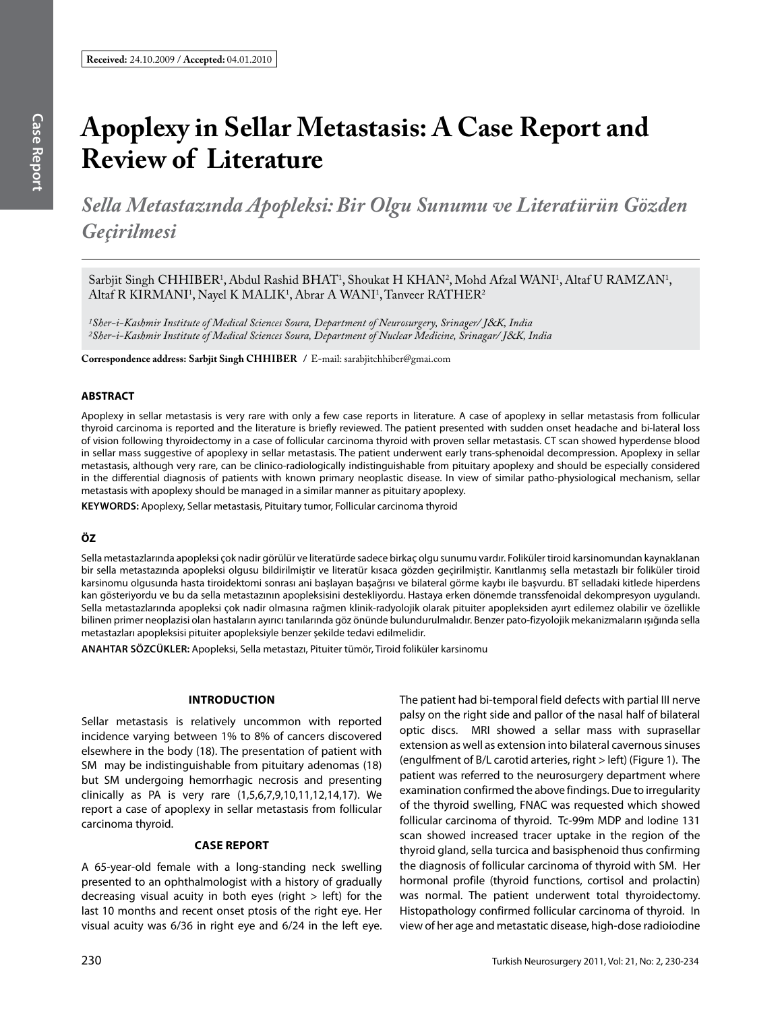# **Apoplexy in Sellar Metastasis: A Case Report and Review of Literature**

*Sella Metastazında Apopleksi: Bir Olgu Sunumu ve Literatürün Gözden Geçirilmesi*

Sarbjit Singh CHHIBER<sup>1</sup>, Abdul Rashid BHAT<sup>1</sup>, Shoukat H KHAN<sup>2</sup>, Mohd Afzal WANI<sup>1</sup>, Altaf U RAMZAN<sup>1</sup>, Altaf R KIRMANI<sup>1</sup>, Nayel K MALIK<sup>1</sup>, Abrar A WANI<sup>1</sup>, Tanveer RATHER<sup>2</sup>

*1Sher-i-Kashmir Institute of Medical Sciences Soura, Department of Neurosurgery, Srinager/ J*&*K, India 2Sher-i-Kashmir Institute of Medical Sciences Soura, Department of Nuclear Medicine, Srinagar/ J*&*K, India*

**Correspondence address: Sarbjit Singh chhIber /** E-mail: sarabjitchhiber@gmai.com

## **ABSTRACT**

Apoplexy in sellar metastasis is very rare with only a few case reports in literature. A case of apoplexy in sellar metastasis from follicular thyroid carcinoma is reported and the literature is briefly reviewed. The patient presented with sudden onset headache and bi-lateral loss of vision following thyroidectomy in a case of follicular carcinoma thyroid with proven sellar metastasis. CT scan showed hyperdense blood in sellar mass suggestive of apoplexy in sellar metastasis. The patient underwent early trans-sphenoidal decompression. Apoplexy in sellar metastasis, although very rare, can be clinico-radiologically indistinguishable from pituitary apoplexy and should be especially considered in the differential diagnosis of patients with known primary neoplastic disease. In view of similar patho-physiological mechanism, sellar metastasis with apoplexy should be managed in a similar manner as pituitary apoplexy.

**Keywords:** Apoplexy, Sellar metastasis, Pituitary tumor, Follicular carcinoma thyroid

## **ÖZ**

Sella metastazlarında apopleksi çok nadir görülür ve literatürde sadece birkaç olgu sunumu vardır. Foliküler tiroid karsinomundan kaynaklanan bir sella metastazında apopleksi olgusu bildirilmiştir ve literatür kısaca gözden geçirilmiştir. Kanıtlanmış sella metastazlı bir foliküler tiroid karsinomu olgusunda hasta tiroidektomi sonrası ani başlayan başağrısı ve bilateral görme kaybı ile başvurdu. BT selladaki kitlede hiperdens kan gösteriyordu ve bu da sella metastazının apopleksisini destekliyordu. Hastaya erken dönemde transsfenoidal dekompresyon uygulandı. Sella metastazlarında apopleksi çok nadir olmasına rağmen klinik-radyolojik olarak pituiter apopleksiden ayırt edilemez olabilir ve özellikle bilinen primer neoplazisi olan hastaların ayırıcı tanılarında göz önünde bulundurulmalıdır. Benzer pato-fizyolojik mekanizmaların ışığında sella metastazları apopleksisi pituiter apopleksiyle benzer şekilde tedavi edilmelidir.

**ANAHTAR SÖZCÜKLER:** Apopleksi, Sella metastazı, Pituiter tümör, Tiroid foliküler karsinomu

#### **IntroductIon**

Sellar metastasis is relatively uncommon with reported incidence varying between 1% to 8% of cancers discovered elsewhere in the body (18). The presentation of patient with SM may be indistinguishable from pituitary adenomas (18) but SM undergoing hemorrhagic necrosis and presenting clinically as PA is very rare (1,5,6,7,9,10,11,12,14,17). We report a case of apoplexy in sellar metastasis from follicular carcinoma thyroid.

#### **Case Report**

A 65-year-old female with a long-standing neck swelling presented to an ophthalmologist with a history of gradually decreasing visual acuity in both eyes (right  $>$  left) for the last 10 months and recent onset ptosis of the right eye. Her visual acuity was 6/36 in right eye and 6/24 in the left eye. The patient had bi-temporal field defects with partial III nerve palsy on the right side and pallor of the nasal half of bilateral optic discs. MRI showed a sellar mass with suprasellar extension as well as extension into bilateral cavernous sinuses (engulfment of B/L carotid arteries, right > left) (Figure 1). The patient was referred to the neurosurgery department where examination confirmed the above findings. Due to irregularity of the thyroid swelling, FNAC was requested which showed follicular carcinoma of thyroid. Tc-99m MDP and Iodine 131 scan showed increased tracer uptake in the region of the thyroid gland, sella turcica and basisphenoid thus confirming the diagnosis of follicular carcinoma of thyroid with SM. Her hormonal profile (thyroid functions, cortisol and prolactin) was normal. The patient underwent total thyroidectomy. Histopathology confirmed follicular carcinoma of thyroid. In view of her age and metastatic disease, high-dose radioiodine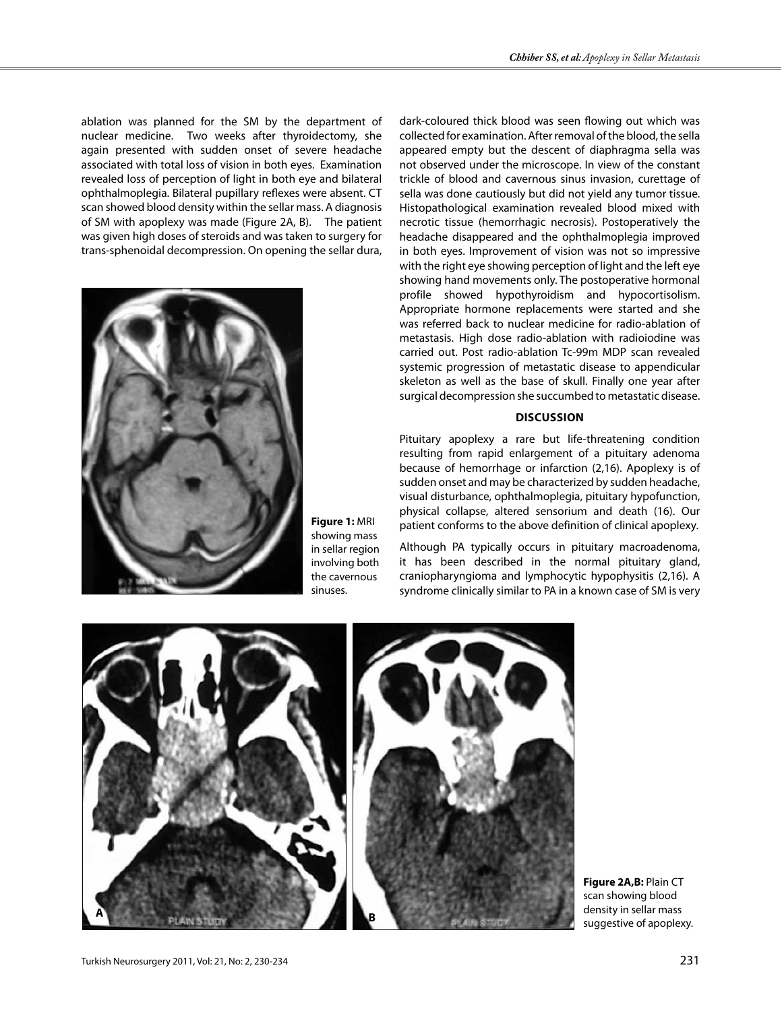ablation was planned for the SM by the department of nuclear medicine. Two weeks after thyroidectomy, she again presented with sudden onset of severe headache associated with total loss of vision in both eyes. Examination revealed loss of perception of light in both eye and bilateral ophthalmoplegia. Bilateral pupillary reflexes were absent. CT scan showed blood density within the sellar mass. A diagnosis of SM with apoplexy was made (Figure 2A, B). The patient was given high doses of steroids and was taken to surgery for trans-sphenoidal decompression. On opening the sellar dura,



**Figure 1:** MRI showing mass in sellar region involving both the cavernous sinuses.

dark-coloured thick blood was seen flowing out which was collected for examination. After removal of the blood, the sella appeared empty but the descent of diaphragma sella was not observed under the microscope. In view of the constant trickle of blood and cavernous sinus invasion, curettage of sella was done cautiously but did not yield any tumor tissue. Histopathological examination revealed blood mixed with necrotic tissue (hemorrhagic necrosis). Postoperatively the headache disappeared and the ophthalmoplegia improved in both eyes. Improvement of vision was not so impressive with the right eye showing perception of light and the left eye showing hand movements only. The postoperative hormonal profile showed hypothyroidism and hypocortisolism. Appropriate hormone replacements were started and she was referred back to nuclear medicine for radio-ablation of metastasis. High dose radio-ablation with radioiodine was carried out. Post radio-ablation Tc-99m MDP scan revealed systemic progression of metastatic disease to appendicular skeleton as well as the base of skull. Finally one year after surgical decompression she succumbed to metastatic disease.

## **DIscussIon**

Pituitary apoplexy a rare but life-threatening condition resulting from rapid enlargement of a pituitary adenoma because of hemorrhage or infarction (2,16). Apoplexy is of sudden onset and may be characterized by sudden headache, visual disturbance, ophthalmoplegia, pituitary hypofunction, physical collapse, altered sensorium and death (16). Our patient conforms to the above definition of clinical apoplexy.

Although PA typically occurs in pituitary macroadenoma, it has been described in the normal pituitary gland, craniopharyngioma and lymphocytic hypophysitis (2,16). A syndrome clinically similar to PA in a known case of SM is very



**Figure 2A,B:** Plain CT scan showing blood density in sellar mass suggestive of apoplexy.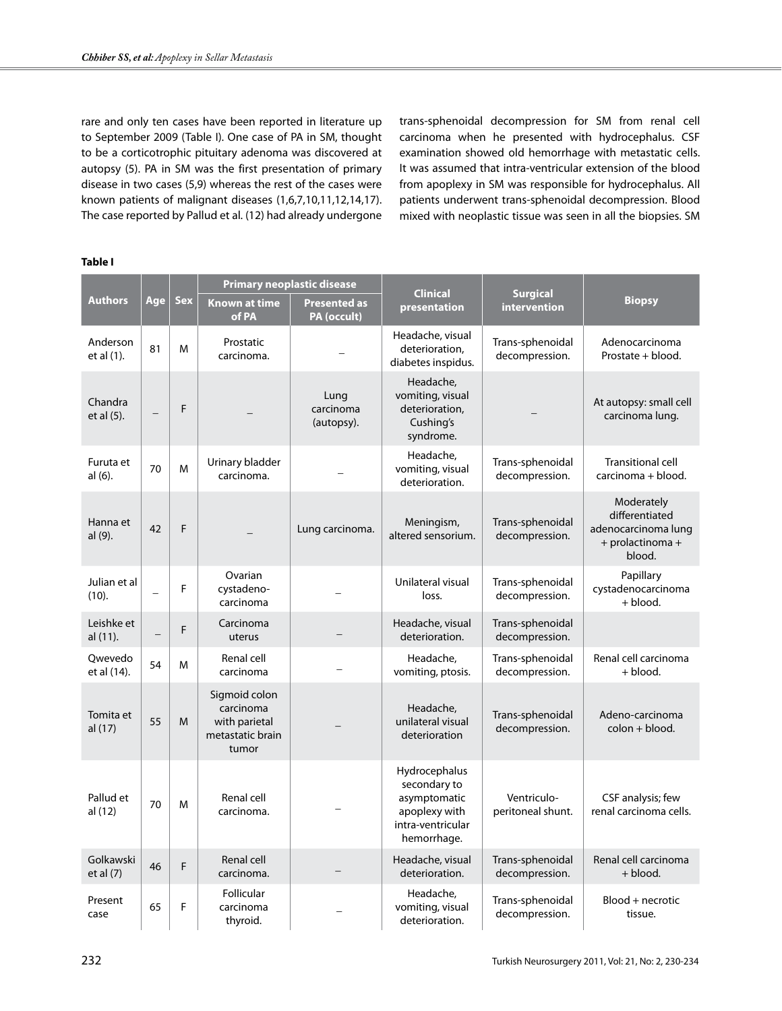rare and only ten cases have been reported in literature up to September 2009 (Table I). One case of PA in SM, thought to be a corticotrophic pituitary adenoma was discovered at autopsy (5). PA in SM was the first presentation of primary disease in two cases (5,9) whereas the rest of the cases were known patients of malignant diseases (1,6,7,10,11,12,14,17). The case reported by Pallud et al. (12) had already undergone trans-sphenoidal decompression for SM from renal cell carcinoma when he presented with hydrocephalus. CSF examination showed old hemorrhage with metastatic cells. It was assumed that intra-ventricular extension of the blood from apoplexy in SM was responsible for hydrocephalus. All patients underwent trans-sphenoidal decompression. Blood mixed with neoplastic tissue was seen in all the biopsies. SM

## **Table I**

| <b>Authors</b>           | Age | <b>Sex</b> | <b>Primary neoplastic disease</b>                                        |                                    | <b>Clinical</b>                                                                                    | <b>Surgical</b>                    |                                                                                   |
|--------------------------|-----|------------|--------------------------------------------------------------------------|------------------------------------|----------------------------------------------------------------------------------------------------|------------------------------------|-----------------------------------------------------------------------------------|
|                          |     |            | <b>Known at time</b><br>of PA                                            | <b>Presented as</b><br>PA (occult) | presentation                                                                                       | intervention                       | <b>Biopsy</b>                                                                     |
| Anderson<br>et al (1).   | 81  | M          | Prostatic<br>carcinoma.                                                  |                                    | Headache, visual<br>deterioration,<br>diabetes inspidus.                                           | Trans-sphenoidal<br>decompression. | Adenocarcinoma<br>Prostate + blood.                                               |
| Chandra<br>et al (5).    |     | F          |                                                                          | Lung<br>carcinoma<br>(autopsy).    | Headache,<br>vomiting, visual<br>deterioration,<br>Cushing's<br>syndrome.                          |                                    | At autopsy: small cell<br>carcinoma lung.                                         |
| Furuta et<br>al (6).     | 70  | M          | Urinary bladder<br>carcinoma.                                            |                                    | Headache,<br>vomiting, visual<br>deterioration.                                                    | Trans-sphenoidal<br>decompression. | <b>Transitional cell</b><br>carcinoma + blood.                                    |
| Hanna et<br>al (9).      | 42  | F          |                                                                          | Lung carcinoma.                    | Meningism,<br>altered sensorium.                                                                   | Trans-sphenoidal<br>decompression. | Moderately<br>differentiated<br>adenocarcinoma lung<br>+ prolactinoma +<br>blood. |
| Julian et al<br>(10).    |     | F          | Ovarian<br>cystadeno-<br>carcinoma                                       |                                    | Unilateral visual<br>loss.                                                                         | Trans-sphenoidal<br>decompression. | Papillary<br>cystadenocarcinoma<br>+ blood.                                       |
| Leishke et<br>al (11).   |     | F          | Carcinoma<br>uterus                                                      |                                    | Headache, visual<br>deterioration.                                                                 | Trans-sphenoidal<br>decompression. |                                                                                   |
| Qwevedo<br>et al (14).   | 54  | M          | Renal cell<br>carcinoma                                                  |                                    | Headache,<br>vomiting, ptosis.                                                                     | Trans-sphenoidal<br>decompression. | Renal cell carcinoma<br>$+$ blood.                                                |
| Tomita et<br>al (17)     | 55  | M          | Sigmoid colon<br>carcinoma<br>with parietal<br>metastatic brain<br>tumor |                                    | Headache,<br>unilateral visual<br>deterioration                                                    | Trans-sphenoidal<br>decompression. | Adeno-carcinoma<br>colon + blood.                                                 |
| Pallud et<br>al (12)     | 70  | M          | Renal cell<br>carcinoma.                                                 |                                    | Hydrocephalus<br>secondary to<br>asymptomatic<br>apoplexy with<br>intra-ventricular<br>hemorrhage. | Ventriculo-<br>peritoneal shunt.   | CSF analysis; few<br>renal carcinoma cells.                                       |
| Golkawski<br>et al $(7)$ | 46  | F          | Renal cell<br>carcinoma.                                                 |                                    | Headache, visual<br>deterioration.                                                                 | Trans-sphenoidal<br>decompression. | Renal cell carcinoma<br>+ blood.                                                  |
| Present<br>case          | 65  | F          | Follicular<br>carcinoma<br>thyroid.                                      |                                    | Headache,<br>vomiting, visual<br>deterioration.                                                    | Trans-sphenoidal<br>decompression. | Blood + necrotic<br>tissue.                                                       |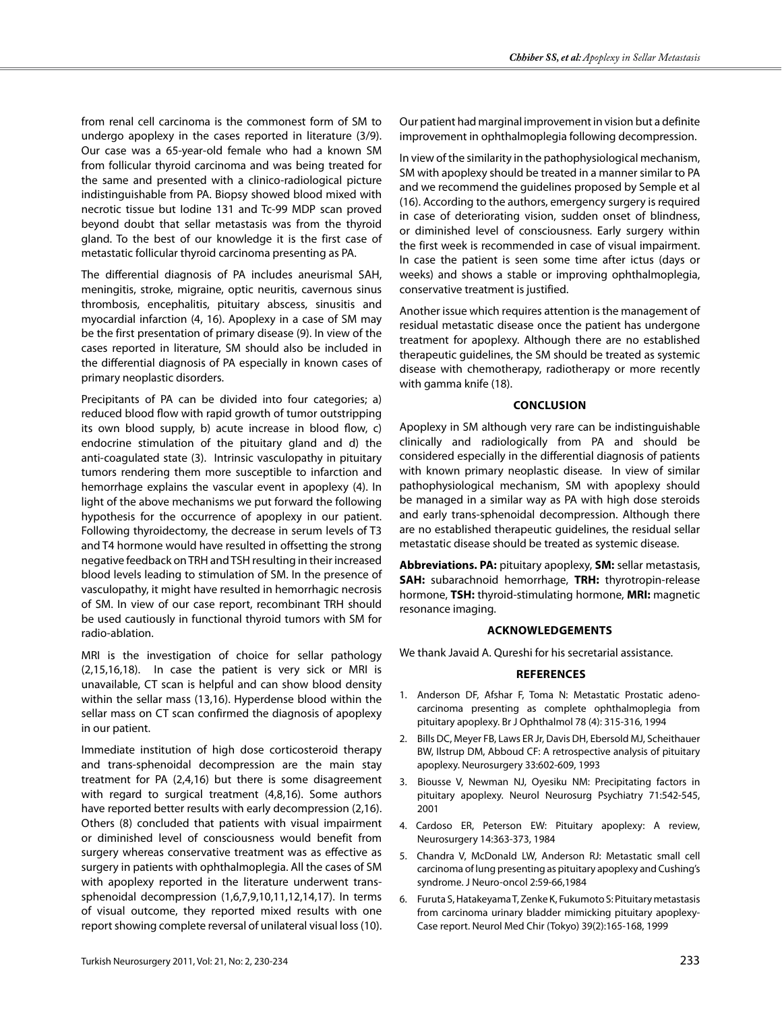from renal cell carcinoma is the commonest form of SM to undergo apoplexy in the cases reported in literature (3/9). Our case was a 65-year-old female who had a known SM from follicular thyroid carcinoma and was being treated for the same and presented with a clinico-radiological picture indistinguishable from PA. Biopsy showed blood mixed with necrotic tissue but Iodine 131 and Tc-99 MDP scan proved beyond doubt that sellar metastasis was from the thyroid gland. To the best of our knowledge it is the first case of metastatic follicular thyroid carcinoma presenting as PA.

The differential diagnosis of PA includes aneurismal SAH, meningitis, stroke, migraine, optic neuritis, cavernous sinus thrombosis, encephalitis, pituitary abscess, sinusitis and myocardial infarction (4, 16). Apoplexy in a case of SM may be the first presentation of primary disease (9). In view of the cases reported in literature, SM should also be included in the differential diagnosis of PA especially in known cases of primary neoplastic disorders.

Precipitants of PA can be divided into four categories; a) reduced blood flow with rapid growth of tumor outstripping its own blood supply, b) acute increase in blood flow, c) endocrine stimulation of the pituitary gland and d) the anti-coagulated state (3). Intrinsic vasculopathy in pituitary tumors rendering them more susceptible to infarction and hemorrhage explains the vascular event in apoplexy (4). In light of the above mechanisms we put forward the following hypothesis for the occurrence of apoplexy in our patient. Following thyroidectomy, the decrease in serum levels of T3 and T4 hormone would have resulted in offsetting the strong negative feedback on TRH and TSH resulting in their increased blood levels leading to stimulation of SM. In the presence of vasculopathy, it might have resulted in hemorrhagic necrosis of SM. In view of our case report, recombinant TRH should be used cautiously in functional thyroid tumors with SM for radio-ablation.

MRI is the investigation of choice for sellar pathology (2,15,16,18). In case the patient is very sick or MRI is unavailable, CT scan is helpful and can show blood density within the sellar mass (13,16). Hyperdense blood within the sellar mass on CT scan confirmed the diagnosis of apoplexy in our patient.

Immediate institution of high dose corticosteroid therapy and trans-sphenoidal decompression are the main stay treatment for PA (2,4,16) but there is some disagreement with regard to surgical treatment (4,8,16). Some authors have reported better results with early decompression (2,16). Others (8) concluded that patients with visual impairment or diminished level of consciousness would benefit from surgery whereas conservative treatment was as effective as surgery in patients with ophthalmoplegia. All the cases of SM with apoplexy reported in the literature underwent transsphenoidal decompression (1,6,7,9,10,11,12,14,17). In terms of visual outcome, they reported mixed results with one report showing complete reversal of unilateral visual loss (10).

Our patient had marginal improvement in vision but a definite improvement in ophthalmoplegia following decompression.

In view of the similarity in the pathophysiological mechanism, SM with apoplexy should be treated in a manner similar to PA and we recommend the guidelines proposed by Semple et al (16). According to the authors, emergency surgery is required in case of deteriorating vision, sudden onset of blindness, or diminished level of consciousness. Early surgery within the first week is recommended in case of visual impairment. In case the patient is seen some time after ictus (days or weeks) and shows a stable or improving ophthalmoplegia, conservative treatment is justified.

Another issue which requires attention is the management of residual metastatic disease once the patient has undergone treatment for apoplexy. Although there are no established therapeutic guidelines, the SM should be treated as systemic disease with chemotherapy, radiotherapy or more recently with gamma knife (18).

## **ConclusIon**

Apoplexy in SM although very rare can be indistinguishable clinically and radiologically from PA and should be considered especially in the differential diagnosis of patients with known primary neoplastic disease. In view of similar pathophysiological mechanism, SM with apoplexy should be managed in a similar way as PA with high dose steroids and early trans-sphenoidal decompression. Although there are no established therapeutic guidelines, the residual sellar metastatic disease should be treated as systemic disease.

**Abbreviations. PA:** pituitary apoplexy, **SM:** sellar metastasis, **SAH:** subarachnoid hemorrhage, **TRH:** thyrotropin-release hormone, **TSH:** thyroid-stimulating hormone, **MRI:** magnetic resonance imaging.

#### **Acknowledgements**

We thank Javaid A. Qureshi for his secretarial assistance.

## **References**

- 1. Anderson DF, Afshar F, Toma N: Metastatic Prostatic adenocarcinoma presenting as complete ophthalmoplegia from pituitary apoplexy. Br J Ophthalmol 78 (4): 315-316, 1994
- 2. Bills DC, Meyer FB, Laws ER Jr, Davis DH, Ebersold MJ, Scheithauer BW, Ilstrup DM, Abboud CF: A retrospective analysis of pituitary apoplexy. Neurosurgery 33:602-609, 1993
- 3. Biousse V, Newman NJ, Oyesiku NM: Precipitating factors in pituitary apoplexy. Neurol Neurosurg Psychiatry 71:542-545, 2001
- 4. Cardoso ER, Peterson EW: Pituitary apoplexy: A review, Neurosurgery 14:363-373, 1984
- 5. Chandra V, McDonald LW, Anderson RJ: Metastatic small cell carcinoma of lung presenting as pituitary apoplexy and Cushing's syndrome. J Neuro-oncol 2:59-66,1984
- 6. Furuta S, Hatakeyama T, Zenke K, Fukumoto S: Pituitary metastasis from carcinoma urinary bladder mimicking pituitary apoplexy-Case report. Neurol Med Chir (Tokyo) 39(2):165-168, 1999